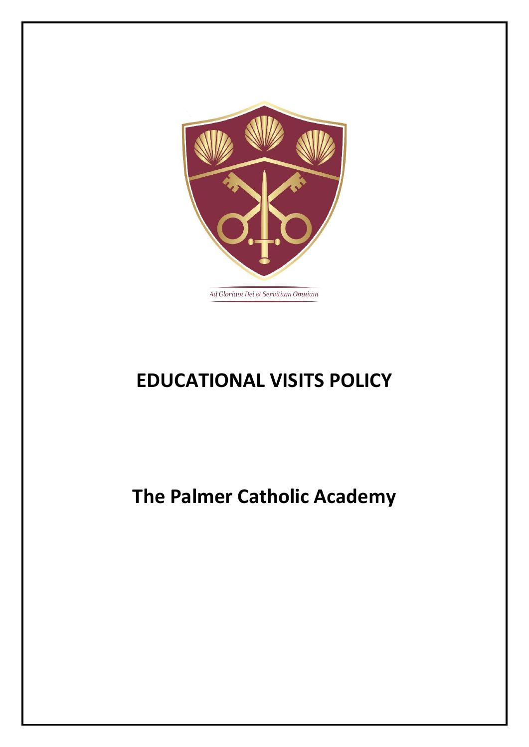

# **EDUCATIONAL VISITS POLICY**

# **The Palmer Catholic Academy**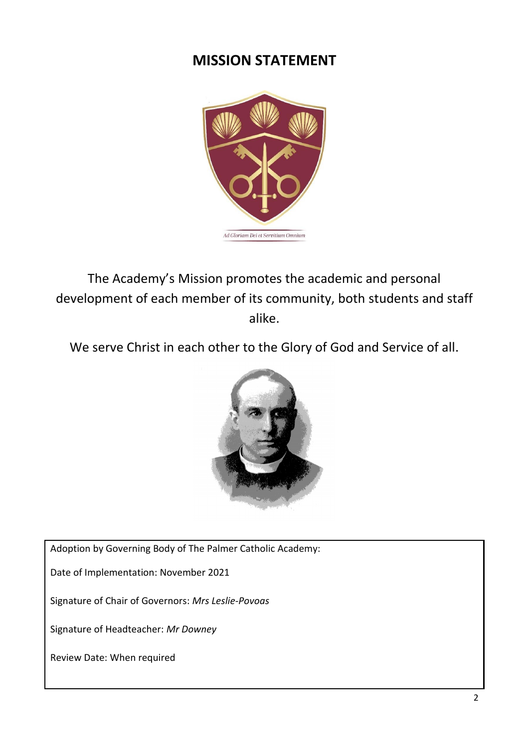# **MISSION STATEMENT**



The Academy's Mission promotes the academic and personal development of each member of its community, both students and staff alike.

We serve Christ in each other to the Glory of God and Service of all.



Adoption by Governing Body of The Palmer Catholic Academy:

Date of Implementation: November 2021

Signature of Chair of Governors: *Mrs Leslie-Povoas*

Signature of Headteacher: *Mr Downey*

Review Date: When required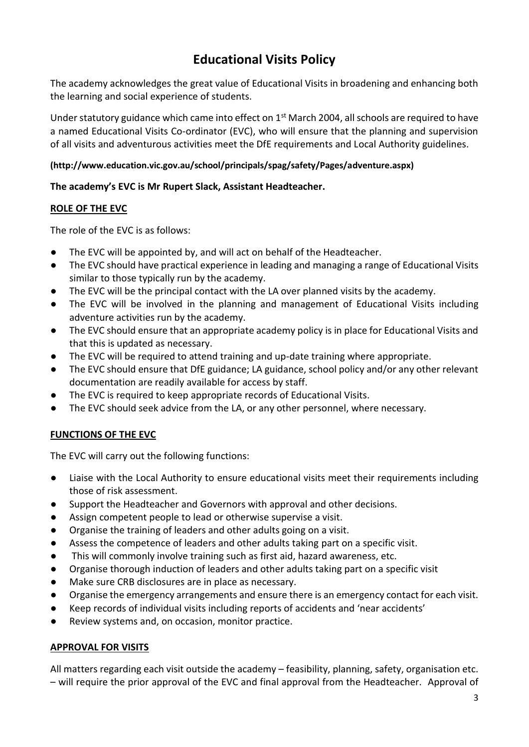# **Educational Visits Policy**

The academy acknowledges the great value of Educational Visits in broadening and enhancing both the learning and social experience of students.

Under statutory guidance which came into effect on 1<sup>st</sup> March 2004, all schools are required to have a named Educational Visits Co-ordinator (EVC), who will ensure that the planning and supervision of all visits and adventurous activities meet the DfE requirements and Local Authority guidelines.

# **(http://www.education.vic.gov.au/school/principals/spag/safety/Pages/adventure.aspx)**

# **The academy's EVC is Mr Rupert Slack, Assistant Headteacher.**

# **ROLE OF THE EVC**

The role of the EVC is as follows:

- The EVC will be appointed by, and will act on behalf of the Headteacher.
- The EVC should have practical experience in leading and managing a range of Educational Visits similar to those typically run by the academy.
- The EVC will be the principal contact with the LA over planned visits by the academy.
- The EVC will be involved in the planning and management of Educational Visits including adventure activities run by the academy.
- The EVC should ensure that an appropriate academy policy is in place for Educational Visits and that this is updated as necessary.
- The EVC will be required to attend training and up-date training where appropriate.
- The EVC should ensure that DfE guidance; LA guidance, school policy and/or any other relevant documentation are readily available for access by staff.
- The EVC is required to keep appropriate records of Educational Visits.
- The EVC should seek advice from the LA, or any other personnel, where necessary.

# **FUNCTIONS OF THE EVC**

The EVC will carry out the following functions:

- Liaise with the Local Authority to ensure educational visits meet their requirements including those of risk assessment.
- Support the Headteacher and Governors with approval and other decisions.
- Assign competent people to lead or otherwise supervise a visit.
- Organise the training of leaders and other adults going on a visit.
- Assess the competence of leaders and other adults taking part on a specific visit.
- This will commonly involve training such as first aid, hazard awareness, etc.
- Organise thorough induction of leaders and other adults taking part on a specific visit
- Make sure CRB disclosures are in place as necessary.
- Organise the emergency arrangements and ensure there is an emergency contact for each visit.
- Keep records of individual visits including reports of accidents and 'near accidents'
- Review systems and, on occasion, monitor practice.

# **APPROVAL FOR VISITS**

All matters regarding each visit outside the academy – feasibility, planning, safety, organisation etc. – will require the prior approval of the EVC and final approval from the Headteacher. Approval of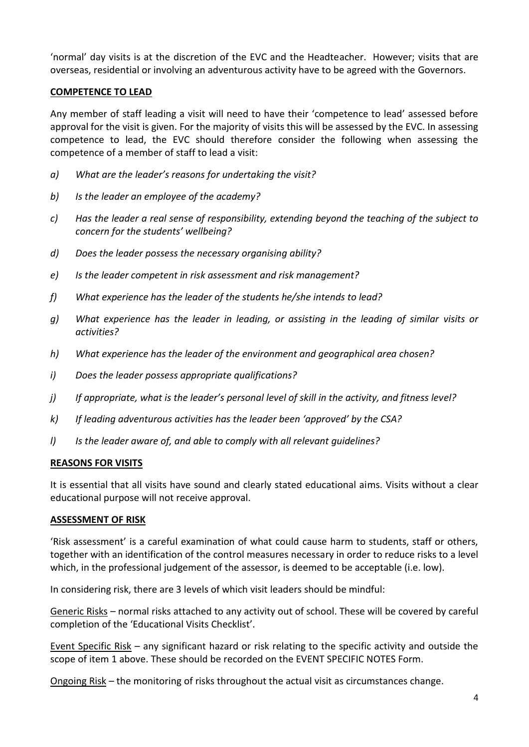'normal' day visits is at the discretion of the EVC and the Headteacher. However; visits that are overseas, residential or involving an adventurous activity have to be agreed with the Governors.

#### **COMPETENCE TO LEAD**

Any member of staff leading a visit will need to have their 'competence to lead' assessed before approval for the visit is given. For the majority of visits this will be assessed by the EVC. In assessing competence to lead, the EVC should therefore consider the following when assessing the competence of a member of staff to lead a visit:

- *a) What are the leader's reasons for undertaking the visit?*
- *b) Is the leader an employee of the academy?*
- *c) Has the leader a real sense of responsibility, extending beyond the teaching of the subject to concern for the students' wellbeing?*
- *d) Does the leader possess the necessary organising ability?*
- *e) Is the leader competent in risk assessment and risk management?*
- *f) What experience has the leader of the students he/she intends to lead?*
- *g) What experience has the leader in leading, or assisting in the leading of similar visits or activities?*
- *h) What experience has the leader of the environment and geographical area chosen?*
- *i) Does the leader possess appropriate qualifications?*
- *j) If appropriate, what is the leader's personal level of skill in the activity, and fitness level?*
- *k) If leading adventurous activities has the leader been 'approved' by the CSA?*
- *l) Is the leader aware of, and able to comply with all relevant guidelines?*

#### **REASONS FOR VISITS**

It is essential that all visits have sound and clearly stated educational aims. Visits without a clear educational purpose will not receive approval.

#### **ASSESSMENT OF RISK**

'Risk assessment' is a careful examination of what could cause harm to students, staff or others, together with an identification of the control measures necessary in order to reduce risks to a level which, in the professional judgement of the assessor, is deemed to be acceptable (i.e. low).

In considering risk, there are 3 levels of which visit leaders should be mindful:

Generic Risks – normal risks attached to any activity out of school. These will be covered by careful completion of the 'Educational Visits Checklist'.

Event Specific Risk – any significant hazard or risk relating to the specific activity and outside the scope of item 1 above. These should be recorded on the EVENT SPECIFIC NOTES Form.

Ongoing Risk – the monitoring of risks throughout the actual visit as circumstances change.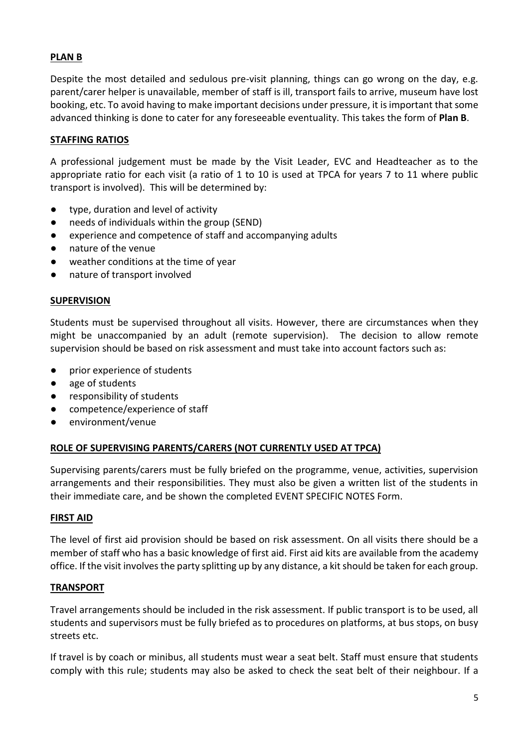# **PLAN B**

Despite the most detailed and sedulous pre-visit planning, things can go wrong on the day, e.g. parent/carer helper is unavailable, member of staff is ill, transport fails to arrive, museum have lost booking, etc. To avoid having to make important decisions under pressure, it is important that some advanced thinking is done to cater for any foreseeable eventuality. This takes the form of **Plan B**.

# **STAFFING RATIOS**

A professional judgement must be made by the Visit Leader, EVC and Headteacher as to the appropriate ratio for each visit (a ratio of 1 to 10 is used at TPCA for years 7 to 11 where public transport is involved). This will be determined by:

- type, duration and level of activity
- needs of individuals within the group (SEND)
- experience and competence of staff and accompanying adults
- nature of the venue
- weather conditions at the time of year
- nature of transport involved

#### **SUPERVISION**

Students must be supervised throughout all visits. However, there are circumstances when they might be unaccompanied by an adult (remote supervision). The decision to allow remote supervision should be based on risk assessment and must take into account factors such as:

- prior experience of students
- age of students
- responsibility of students
- competence/experience of staff
- environment/venue

#### **ROLE OF SUPERVISING PARENTS/CARERS (NOT CURRENTLY USED AT TPCA)**

Supervising parents/carers must be fully briefed on the programme, venue, activities, supervision arrangements and their responsibilities. They must also be given a written list of the students in their immediate care, and be shown the completed EVENT SPECIFIC NOTES Form.

#### **FIRST AID**

The level of first aid provision should be based on risk assessment. On all visits there should be a member of staff who has a basic knowledge of first aid. First aid kits are available from the academy office. If the visit involves the party splitting up by any distance, a kit should be taken for each group.

#### **TRANSPORT**

Travel arrangements should be included in the risk assessment. If public transport is to be used, all students and supervisors must be fully briefed as to procedures on platforms, at bus stops, on busy streets etc.

If travel is by coach or minibus, all students must wear a seat belt. Staff must ensure that students comply with this rule; students may also be asked to check the seat belt of their neighbour. If a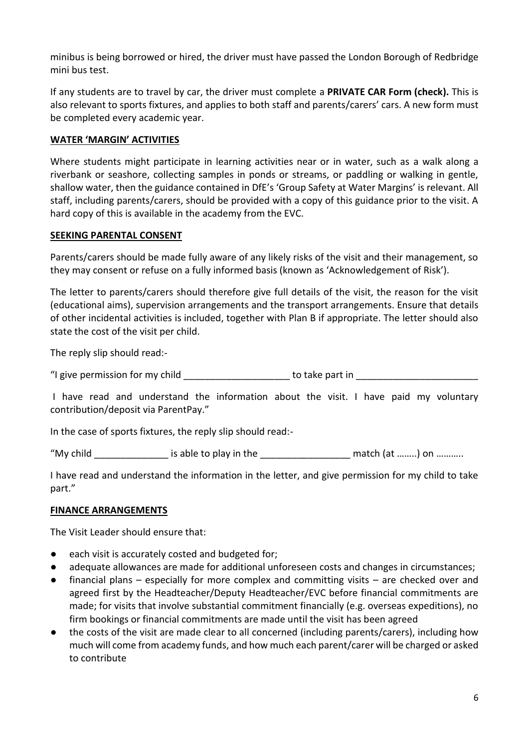minibus is being borrowed or hired, the driver must have passed the London Borough of Redbridge mini bus test.

If any students are to travel by car, the driver must complete a **PRIVATE CAR Form (check).** This is also relevant to sports fixtures, and applies to both staff and parents/carers' cars. A new form must be completed every academic year.

# **WATER 'MARGIN' ACTIVITIES**

Where students might participate in learning activities near or in water, such as a walk along a riverbank or seashore, collecting samples in ponds or streams, or paddling or walking in gentle, shallow water, then the guidance contained in DfE's 'Group Safety at Water Margins' is relevant. All staff, including parents/carers, should be provided with a copy of this guidance prior to the visit. A hard copy of this is available in the academy from the EVC.

# **SEEKING PARENTAL CONSENT**

Parents/carers should be made fully aware of any likely risks of the visit and their management, so they may consent or refuse on a fully informed basis (known as 'Acknowledgement of Risk').

The letter to parents/carers should therefore give full details of the visit, the reason for the visit (educational aims), supervision arrangements and the transport arrangements. Ensure that details of other incidental activities is included, together with Plan B if appropriate. The letter should also state the cost of the visit per child.

The reply slip should read:-

"I give permission for my child example to take part in  $\blacksquare$ 

I have read and understand the information about the visit. I have paid my voluntary contribution/deposit via ParentPay."

In the case of sports fixtures, the reply slip should read:-

"My child is able to play in the match (at ……..) on ………..

I have read and understand the information in the letter, and give permission for my child to take part."

# **FINANCE ARRANGEMENTS**

The Visit Leader should ensure that:

- each visit is accurately costed and budgeted for;
- adequate allowances are made for additional unforeseen costs and changes in circumstances;
- financial plans especially for more complex and committing visits are checked over and agreed first by the Headteacher/Deputy Headteacher/EVC before financial commitments are made; for visits that involve substantial commitment financially (e.g. overseas expeditions), no firm bookings or financial commitments are made until the visit has been agreed
- the costs of the visit are made clear to all concerned (including parents/carers), including how much will come from academy funds, and how much each parent/carer will be charged or asked to contribute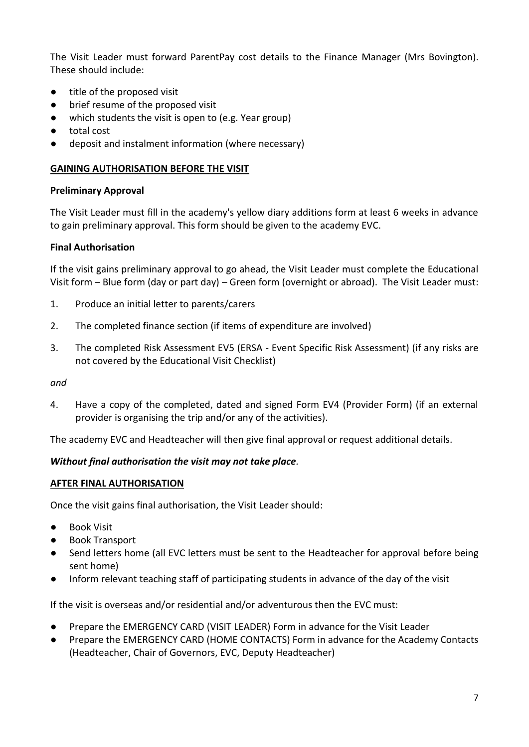The Visit Leader must forward ParentPay cost details to the Finance Manager (Mrs Bovington). These should include:

- title of the proposed visit
- brief resume of the proposed visit
- which students the visit is open to (e.g. Year group)
- total cost
- deposit and instalment information (where necessary)

### **GAINING AUTHORISATION BEFORE THE VISIT**

#### **Preliminary Approval**

The Visit Leader must fill in the academy's yellow diary additions form at least 6 weeks in advance to gain preliminary approval. This form should be given to the academy EVC.

#### **Final Authorisation**

If the visit gains preliminary approval to go ahead, the Visit Leader must complete the Educational Visit form – Blue form (day or part day) – Green form (overnight or abroad). The Visit Leader must:

- 1. Produce an initial letter to parents/carers
- 2. The completed finance section (if items of expenditure are involved)
- 3. The completed Risk Assessment EV5 (ERSA Event Specific Risk Assessment) (if any risks are not covered by the Educational Visit Checklist)

*and*

4. Have a copy of the completed, dated and signed Form EV4 (Provider Form) (if an external provider is organising the trip and/or any of the activities).

The academy EVC and Headteacher will then give final approval or request additional details.

# *Without final authorisation the visit may not take place.*

#### **AFTER FINAL AUTHORISATION**

Once the visit gains final authorisation, the Visit Leader should:

- Book Visit
- **Book Transport**
- Send letters home (all EVC letters must be sent to the Headteacher for approval before being sent home)
- Inform relevant teaching staff of participating students in advance of the day of the visit

If the visit is overseas and/or residential and/or adventurous then the EVC must:

- Prepare the EMERGENCY CARD (VISIT LEADER) Form in advance for the Visit Leader
- Prepare the EMERGENCY CARD (HOME CONTACTS) Form in advance for the Academy Contacts (Headteacher, Chair of Governors, EVC, Deputy Headteacher)